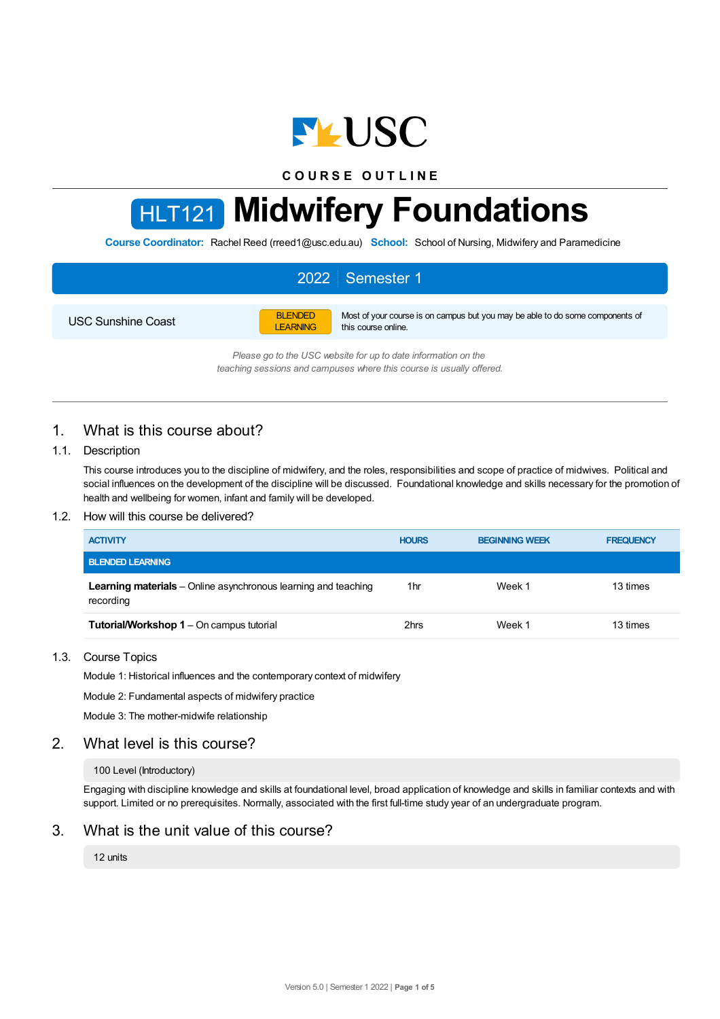

**C O U R S E O U T L I N E**

# HLT121 **Midwifery Foundations**

**Course Coordinator:** Rachel Reed (rreed1@usc.edu.au) **School:** School of Nursing, Midwifery and Paramedicine

# 2022 Semester 1

USC Sunshine Coast

BLENDED LEARNING Most of your course is on campus but you may be able to do some components of this course online.

*Please go to the USC website for up to date information on the teaching sessions and campuses where this course is usually offered.*

# 1. What is this course about?

#### 1.1. Description

This course introduces you to the discipline of midwifery, and the roles, responsibilities and scope of practice of midwives. Political and social influences on the development of the discipline will be discussed. Foundational knowledge and skills necessary for the promotion of health and wellbeing for women, infant and family will be developed.

#### 1.2. How will this course be delivered?

| <b>ACTIVITY</b>                                                                    | <b>HOURS</b>    | <b>BEGINNING WEEK</b> | <b>FREQUENCY</b> |
|------------------------------------------------------------------------------------|-----------------|-----------------------|------------------|
| <b>BLENDED LEARNING</b>                                                            |                 |                       |                  |
| <b>Learning materials</b> – Online asynchronous learning and teaching<br>recording | 1 <sub>hr</sub> | Week 1                | 13 times         |
| Tutorial/Workshop 1 - On campus tutorial                                           | 2hrs            | Week 1                | 13 times         |

## 1.3. Course Topics

Module 1: Historical influences and the contemporary context of midwifery

Module 2: Fundamental aspects of midwifery practice

Module 3: The mother-midwife relationship

# 2. What level is this course?

#### 100 Level (Introductory)

Engaging with discipline knowledge and skills at foundational level, broad application of knowledge and skills in familiar contexts and with support. Limited or no prerequisites. Normally, associated with the first full-time study year of an undergraduate program.

# 3. What is the unit value of this course?

#### 12 units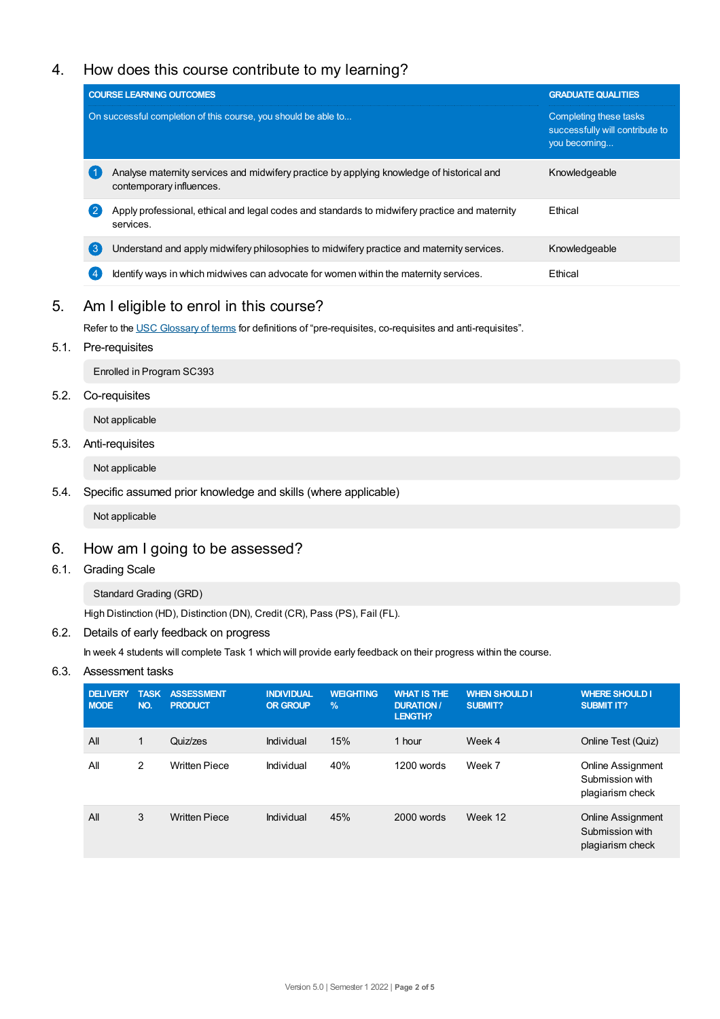# 4. How does this course contribute to my learning?

|                | <b>COURSE LEARNING OUTCOMES</b>                                                                                       | <b>GRADUATE QUALITIES</b>                                                 |
|----------------|-----------------------------------------------------------------------------------------------------------------------|---------------------------------------------------------------------------|
|                | On successful completion of this course, you should be able to                                                        | Completing these tasks<br>successfully will contribute to<br>you becoming |
| . 1            | Analyse maternity services and midwifery practice by applying knowledge of historical and<br>contemporary influences. | Knowledgeable                                                             |
| $\mathbf{2}$   | Apply professional, ethical and legal codes and standards to midwifery practice and maternity<br>services.            | Ethical                                                                   |
| 3              | Understand and apply midwifery philosophies to midwifery practice and maternity services.                             | Knowledgeable                                                             |
| $\overline{4}$ | Identify ways in which midwives can advocate for women within the maternity services.                                 | Ethical                                                                   |

# 5. Am Ieligible to enrol in this course?

Refer to the USC [Glossary](https://www.usc.edu.au/about/policies-and-procedures/glossary-of-terms-for-policy-and-procedures) of terms for definitions of "pre-requisites, co-requisites and anti-requisites".

# 5.1. Pre-requisites

Enrolled in Program SC393

## 5.2. Co-requisites

Not applicable

# 5.3. Anti-requisites

Not applicable

## 5.4. Specific assumed prior knowledge and skills (where applicable)

Not applicable

# 6. How am Igoing to be assessed?

## 6.1. Grading Scale

# Standard Grading (GRD)

High Distinction (HD), Distinction (DN), Credit (CR), Pass (PS), Fail (FL).

## 6.2. Details of early feedback on progress

In week 4 students will complete Task 1 which will provide early feedback on their progress within the course.

# 6.3. Assessment tasks

| <b>DELIVERY</b><br><b>MODE</b> | <b>TASK</b><br>NO. | <b>ASSESSMENT</b><br><b>PRODUCT</b> | <b>INDIVIDUAL</b><br><b>OR GROUP</b> | <b>WEIGHTING</b><br>$\%$ | <b>WHAT IS THE</b><br><b>DURATION /</b><br>LENGTH? | <b>WHEN SHOULD I</b><br>SUBMIT? | <b>WHERE SHOULD I</b><br><b>SUBMIT IT?</b>                      |
|--------------------------------|--------------------|-------------------------------------|--------------------------------------|--------------------------|----------------------------------------------------|---------------------------------|-----------------------------------------------------------------|
| All                            | 1                  | Quiz/zes                            | Individual                           | 15%                      | 1 hour                                             | Week 4                          | Online Test (Quiz)                                              |
| All                            | $\overline{2}$     | <b>Written Piece</b>                | Individual                           | 40%                      | 1200 words                                         | Week 7                          | Online Assignment<br>Submission with<br>plagiarism check        |
| All                            | 3                  | <b>Written Piece</b>                | Individual                           | 45%                      | 2000 words                                         | Week 12                         | <b>Online Assignment</b><br>Submission with<br>plagiarism check |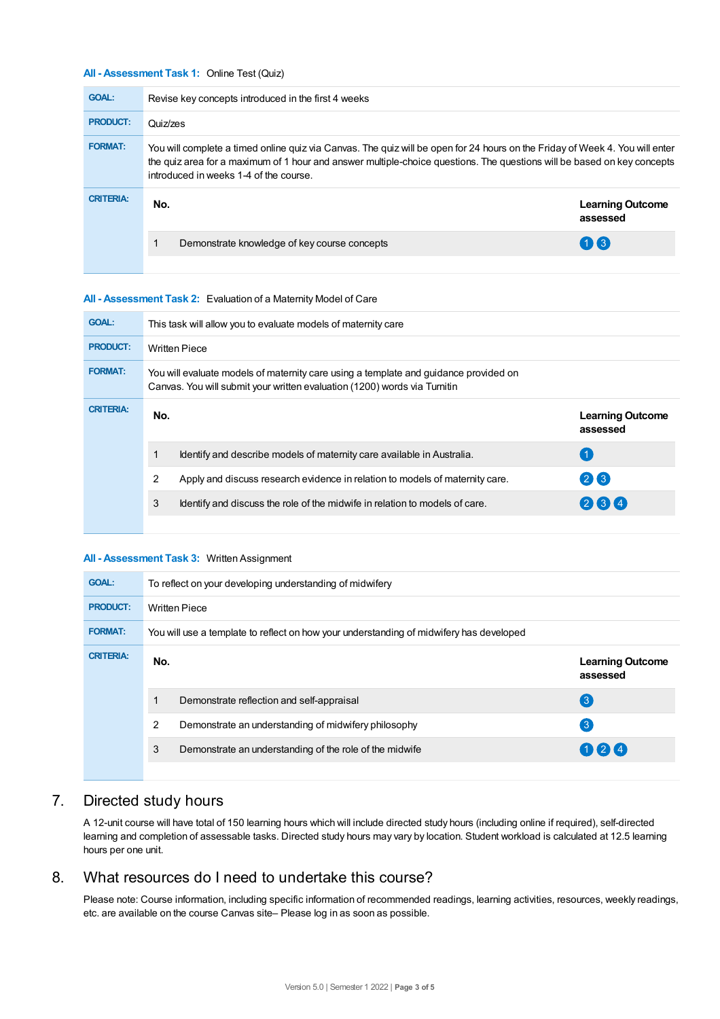#### **All - Assessment Task 1:** Online Test (Quiz)

| <b>GOAL:</b>     | Revise key concepts introduced in the first 4 weeks                                                                                                                                                                                                                                               |                                     |  |  |  |
|------------------|---------------------------------------------------------------------------------------------------------------------------------------------------------------------------------------------------------------------------------------------------------------------------------------------------|-------------------------------------|--|--|--|
| <b>PRODUCT:</b>  | Quiz/zes                                                                                                                                                                                                                                                                                          |                                     |  |  |  |
| <b>FORMAT:</b>   | You will complete a timed online quiz via Canvas. The quiz will be open for 24 hours on the Friday of Week 4. You will enter<br>the quiz area for a maximum of 1 hour and answer multiple-choice questions. The questions will be based on key concepts<br>introduced in weeks 1-4 of the course. |                                     |  |  |  |
| <b>CRITERIA:</b> | No.                                                                                                                                                                                                                                                                                               | <b>Learning Outcome</b><br>assessed |  |  |  |
|                  | Demonstrate knowledge of key course concepts                                                                                                                                                                                                                                                      | $(1)$ $(3)$                         |  |  |  |
|                  |                                                                                                                                                                                                                                                                                                   |                                     |  |  |  |

#### **All - Assessment Task 2:** Evaluation of a Maternity Model of Care

| <b>GOAL:</b>     | This task will allow you to evaluate models of maternity care                                                                                                     |                                                                              |                                     |  |  |
|------------------|-------------------------------------------------------------------------------------------------------------------------------------------------------------------|------------------------------------------------------------------------------|-------------------------------------|--|--|
| <b>PRODUCT:</b>  | <b>Written Piece</b>                                                                                                                                              |                                                                              |                                     |  |  |
| <b>FORMAT:</b>   | You will evaluate models of maternity care using a template and guidance provided on<br>Canvas. You will submit your written evaluation (1200) words via Turnitin |                                                                              |                                     |  |  |
| <b>CRITERIA:</b> | No.                                                                                                                                                               |                                                                              | <b>Learning Outcome</b><br>assessed |  |  |
|                  |                                                                                                                                                                   | Identify and describe models of maternity care available in Australia.       | (1)                                 |  |  |
|                  | 2                                                                                                                                                                 | Apply and discuss research evidence in relation to models of maternity care. | 26                                  |  |  |
|                  | 3                                                                                                                                                                 | Identify and discuss the role of the midwife in relation to models of care.  | 234                                 |  |  |
|                  |                                                                                                                                                                   |                                                                              |                                     |  |  |

#### **All - Assessment Task 3:** Written Assignment

| <b>GOAL:</b>     | To reflect on your developing understanding of midwifery |                                                                                         |                                     |  |  |  |
|------------------|----------------------------------------------------------|-----------------------------------------------------------------------------------------|-------------------------------------|--|--|--|
| <b>PRODUCT:</b>  | <b>Written Piece</b>                                     |                                                                                         |                                     |  |  |  |
| <b>FORMAT:</b>   |                                                          | You will use a template to reflect on how your understanding of midwifery has developed |                                     |  |  |  |
| <b>CRITERIA:</b> | No.                                                      |                                                                                         | <b>Learning Outcome</b><br>assessed |  |  |  |
|                  |                                                          | Demonstrate reflection and self-appraisal                                               | $\left(3\right)$                    |  |  |  |
|                  | 2                                                        | Demonstrate an understanding of midwifery philosophy                                    | $\lceil 3 \rceil$                   |  |  |  |
|                  | 3                                                        | Demonstrate an understanding of the role of the midwife                                 | 124                                 |  |  |  |
|                  |                                                          |                                                                                         |                                     |  |  |  |

# 7. Directed study hours

A 12-unit course will have total of 150 learning hours which will include directed study hours (including online if required), self-directed learning and completion of assessable tasks. Directed study hours may vary by location. Student workload is calculated at 12.5 learning hours per one unit.

# 8. What resources do I need to undertake this course?

Please note: Course information, including specific information of recommended readings, learning activities, resources, weekly readings, etc. are available on the course Canvas site– Please log in as soon as possible.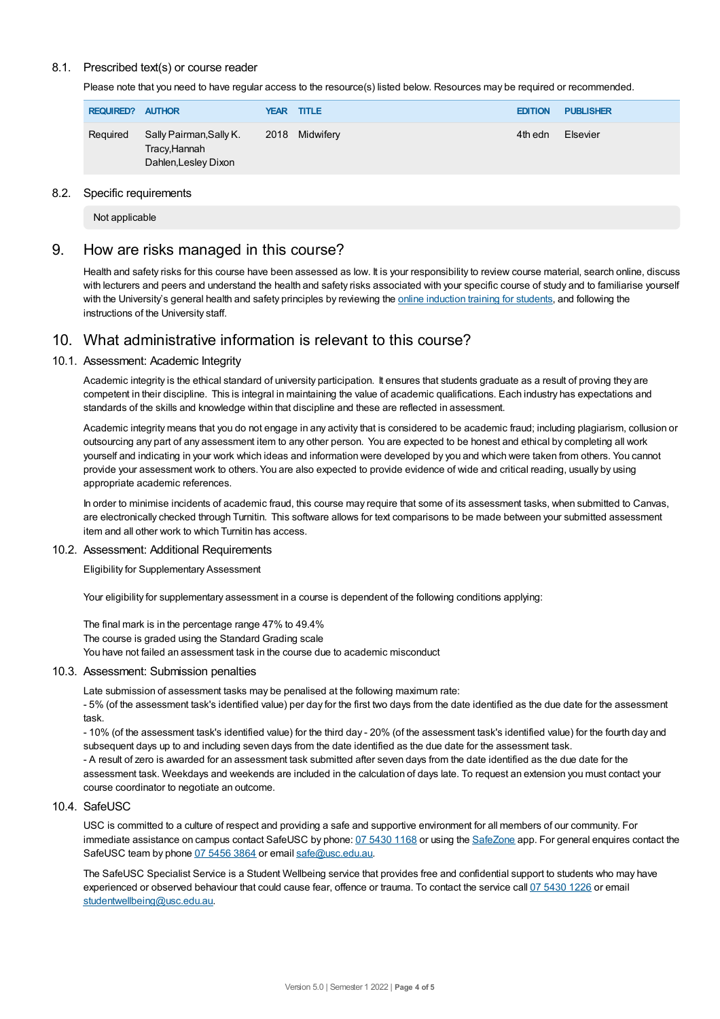#### 8.1. Prescribed text(s) or course reader

Please note that you need to have regular access to the resource(s) listed below. Resources may be required or recommended.

| <b>REQUIRED? AUTHOR</b> |                                                                 |  | <b>YEAR TITLE</b> | <b>EDITION</b> | <b>PUBLISHER</b> |
|-------------------------|-----------------------------------------------------------------|--|-------------------|----------------|------------------|
| Required                | Sally Pairman,Sally K.<br>Tracy, Hannah<br>Dahlen, Lesley Dixon |  | 2018 Midwifery    |                | Elsevier         |

#### 8.2. Specific requirements

Not applicable

## 9. How are risks managed in this course?

Health and safety risks for this course have been assessed as low. It is your responsibility to review course material, search online, discuss with lecturers and peers and understand the health and safety risks associated with your specific course of study and to familiarise yourself with the University's general health and safety principles by reviewing the online [induction](https://online.usc.edu.au/webapps/blackboard/content/listContentEditable.jsp?content_id=_632657_1&course_id=_14432_1) training for students, and following the instructions of the University staff.

# 10. What administrative information is relevant to this course?

#### 10.1. Assessment: Academic Integrity

Academic integrity is the ethical standard of university participation. It ensures that students graduate as a result of proving they are competent in their discipline. This is integral in maintaining the value of academic qualifications. Each industry has expectations and standards of the skills and knowledge within that discipline and these are reflected in assessment.

Academic integrity means that you do not engage in any activity that is considered to be academic fraud; including plagiarism, collusion or outsourcing any part of any assessment item to any other person. You are expected to be honest and ethical by completing all work yourself and indicating in your work which ideas and information were developed by you and which were taken from others. You cannot provide your assessment work to others. You are also expected to provide evidence of wide and critical reading, usually by using appropriate academic references.

In order to minimise incidents of academic fraud, this course may require that some of its assessment tasks, when submitted to Canvas, are electronically checked through Turnitin. This software allows for text comparisons to be made between your submitted assessment item and all other work to which Turnitin has access.

#### 10.2. Assessment: Additional Requirements

Eligibility for Supplementary Assessment

Your eligibility for supplementary assessment in a course is dependent of the following conditions applying:

The final mark is in the percentage range 47% to 49.4% The course is graded using the Standard Grading scale You have not failed an assessment task in the course due to academic misconduct

#### 10.3. Assessment: Submission penalties

Late submission of assessment tasks may be penalised at the following maximum rate:

- 5% (of the assessment task's identified value) per day for the first two days from the date identified as the due date for the assessment task.

- 10% (of the assessment task's identified value) for the third day - 20% (of the assessment task's identified value) for the fourth day and subsequent days up to and including seven days from the date identified as the due date for the assessment task.

- A result of zero is awarded for an assessment task submitted after seven days from the date identified as the due date for the assessment task. Weekdays and weekends are included in the calculation of days late. To request an extension you must contact your course coordinator to negotiate an outcome.

#### 10.4. SafeUSC

USC is committed to a culture of respect and providing a safe and supportive environment for all members of our community. For immediate assistance on campus contact SafeUSC by phone: 07 [5430](tel:07%205430%201168) 1168 or using the [SafeZone](https://www.safezoneapp.com) app. For general enquires contact the SafeUSC team by phone 07 [5456](tel:07%205456%203864) 3864 or email [safe@usc.edu.au](mailto:safe@usc.edu.au).

The SafeUSC Specialist Service is a Student Wellbeing service that provides free and confidential support to students who may have experienced or observed behaviour that could cause fear, offence or trauma. To contact the service call 07 [5430](tel:07%205430%201226) 1226 or email [studentwellbeing@usc.edu.au](mailto:studentwellbeing@usc.edu.au).